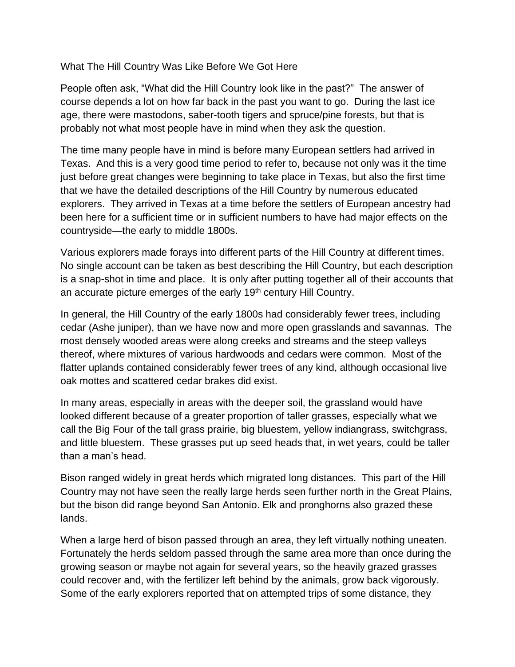## What The Hill Country Was Like Before We Got Here

People often ask, "What did the Hill Country look like in the past?" The answer of course depends a lot on how far back in the past you want to go. During the last ice age, there were mastodons, saber-tooth tigers and spruce/pine forests, but that is probably not what most people have in mind when they ask the question.

The time many people have in mind is before many European settlers had arrived in Texas. And this is a very good time period to refer to, because not only was it the time just before great changes were beginning to take place in Texas, but also the first time that we have the detailed descriptions of the Hill Country by numerous educated explorers. They arrived in Texas at a time before the settlers of European ancestry had been here for a sufficient time or in sufficient numbers to have had major effects on the countryside—the early to middle 1800s.

Various explorers made forays into different parts of the Hill Country at different times. No single account can be taken as best describing the Hill Country, but each description is a snap-shot in time and place. It is only after putting together all of their accounts that an accurate picture emerges of the early 19<sup>th</sup> century Hill Country.

In general, the Hill Country of the early 1800s had considerably fewer trees, including cedar (Ashe juniper), than we have now and more open grasslands and savannas. The most densely wooded areas were along creeks and streams and the steep valleys thereof, where mixtures of various hardwoods and cedars were common. Most of the flatter uplands contained considerably fewer trees of any kind, although occasional live oak mottes and scattered cedar brakes did exist.

In many areas, especially in areas with the deeper soil, the grassland would have looked different because of a greater proportion of taller grasses, especially what we call the Big Four of the tall grass prairie, big bluestem, yellow indiangrass, switchgrass, and little bluestem. These grasses put up seed heads that, in wet years, could be taller than a man's head.

Bison ranged widely in great herds which migrated long distances. This part of the Hill Country may not have seen the really large herds seen further north in the Great Plains, but the bison did range beyond San Antonio. Elk and pronghorns also grazed these lands.

When a large herd of bison passed through an area, they left virtually nothing uneaten. Fortunately the herds seldom passed through the same area more than once during the growing season or maybe not again for several years, so the heavily grazed grasses could recover and, with the fertilizer left behind by the animals, grow back vigorously. Some of the early explorers reported that on attempted trips of some distance, they